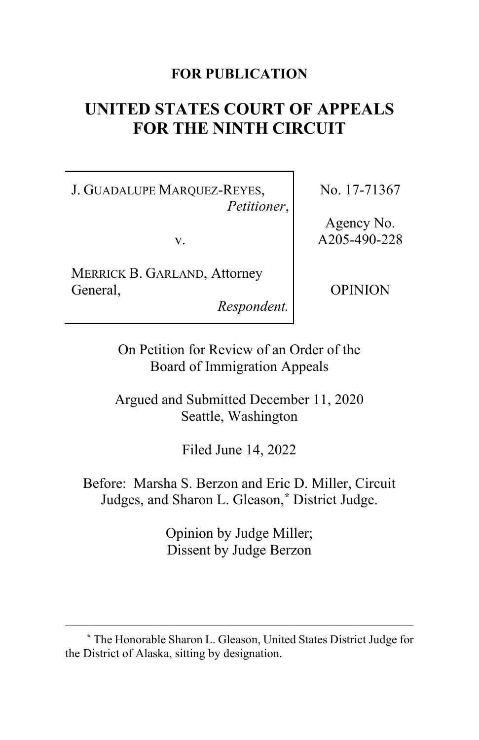## **FOR PUBLICATION**

# **UNITED STATES COURT OF APPEALS FOR THE NINTH CIRCUIT**

J. GUADALUPE MARQUEZ-REYES, *Petitioner*,

v.

MERRICK B. GARLAND, Attorney General,

*Respondent.*

No. 17-71367

Agency No. A205-490-228

OPINION

On Petition for Review of an Order of the Board of Immigration Appeals

Argued and Submitted December 11, 2020 Seattle, Washington

Filed June 14, 2022

Before: Marsha S. Berzon and Eric D. Miller, Circuit Judges, and Sharon L. Gleason,**[\\*](#page-0-0)** District Judge.

> Opinion by Judge Miller; Dissent by Judge Berzon

<span id="page-0-0"></span>**<sup>\*</sup>** The Honorable Sharon L. Gleason, United States District Judge for the District of Alaska, sitting by designation.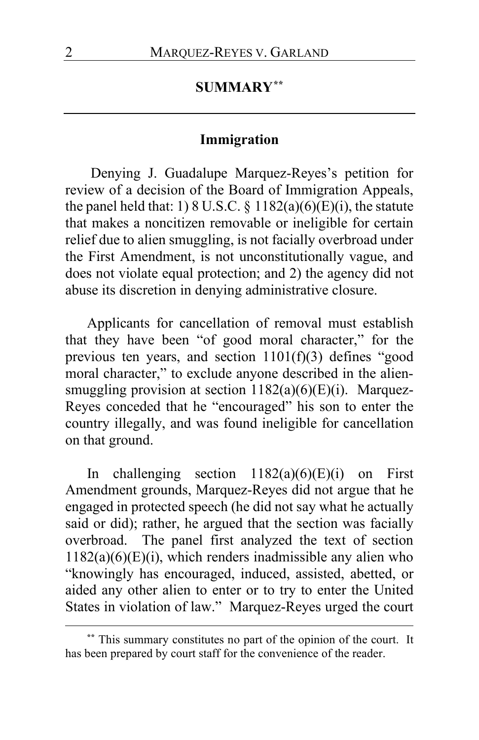# **SUMMARY[\\*\\*](#page-1-0)**

### **Immigration**

Denying J. Guadalupe Marquez-Reyes's petition for review of a decision of the Board of Immigration Appeals, the panel held that: 1) 8 U.S.C.  $\S$  1182(a)(6)(E)(i), the statute that makes a noncitizen removable or ineligible for certain relief due to alien smuggling, is not facially overbroad under the First Amendment, is not unconstitutionally vague, and does not violate equal protection; and 2) the agency did not abuse its discretion in denying administrative closure.

Applicants for cancellation of removal must establish that they have been "of good moral character," for the previous ten years, and section 1101(f)(3) defines "good moral character," to exclude anyone described in the aliensmuggling provision at section  $1182(a)(6)(E)(i)$ . Marquez-Reyes conceded that he "encouraged" his son to enter the country illegally, and was found ineligible for cancellation on that ground.

In challenging section  $1182(a)(6)(E)(i)$  on First Amendment grounds, Marquez-Reyes did not argue that he engaged in protected speech (he did not say what he actually said or did); rather, he argued that the section was facially overbroad. The panel first analyzed the text of section  $1182(a)(6)(E)(i)$ , which renders inadmissible any alien who "knowingly has encouraged, induced, assisted, abetted, or aided any other alien to enter or to try to enter the United States in violation of law." Marquez-Reyes urged the court

<span id="page-1-0"></span>**<sup>\*\*</sup>** This summary constitutes no part of the opinion of the court. It has been prepared by court staff for the convenience of the reader.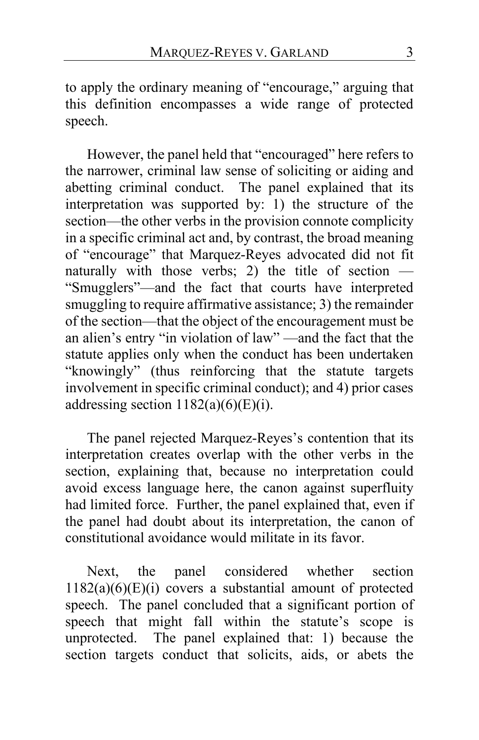to apply the ordinary meaning of "encourage," arguing that this definition encompasses a wide range of protected speech.

However, the panel held that "encouraged" here refers to the narrower, criminal law sense of soliciting or aiding and abetting criminal conduct. The panel explained that its interpretation was supported by: 1) the structure of the section—the other verbs in the provision connote complicity in a specific criminal act and, by contrast, the broad meaning of "encourage" that Marquez-Reyes advocated did not fit naturally with those verbs; 2) the title of section  $-$ "Smugglers"—and the fact that courts have interpreted smuggling to require affirmative assistance; 3) the remainder of the section—that the object of the encouragement must be an alien's entry "in violation of law" —and the fact that the statute applies only when the conduct has been undertaken "knowingly" (thus reinforcing that the statute targets involvement in specific criminal conduct); and 4) prior cases addressing section  $1182(a)(6)(E)(i)$ .

The panel rejected Marquez-Reyes's contention that its interpretation creates overlap with the other verbs in the section, explaining that, because no interpretation could avoid excess language here, the canon against superfluity had limited force. Further, the panel explained that, even if the panel had doubt about its interpretation, the canon of constitutional avoidance would militate in its favor.

Next, the panel considered whether section  $1182(a)(6)(E)(i)$  covers a substantial amount of protected speech. The panel concluded that a significant portion of speech that might fall within the statute's scope is unprotected. The panel explained that: 1) because the section targets conduct that solicits, aids, or abets the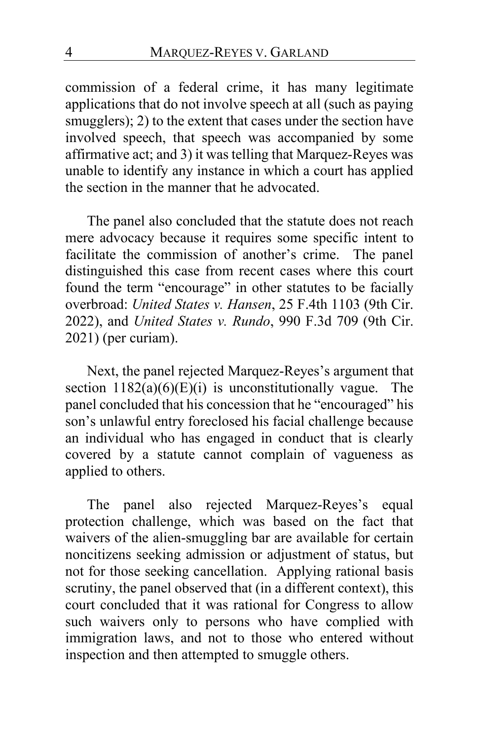commission of a federal crime, it has many legitimate applications that do not involve speech at all (such as paying smugglers); 2) to the extent that cases under the section have involved speech, that speech was accompanied by some affirmative act; and 3) it was telling that Marquez-Reyes was unable to identify any instance in which a court has applied the section in the manner that he advocated.

The panel also concluded that the statute does not reach mere advocacy because it requires some specific intent to facilitate the commission of another's crime. The panel distinguished this case from recent cases where this court found the term "encourage" in other statutes to be facially overbroad: *United States v. Hansen*, 25 F.4th 1103 (9th Cir. 2022), and *United States v. Rundo*, 990 F.3d 709 (9th Cir. 2021) (per curiam).

Next, the panel rejected Marquez-Reyes's argument that section  $1182(a)(6)(E)(i)$  is unconstitutionally vague. The panel concluded that his concession that he "encouraged" his son's unlawful entry foreclosed his facial challenge because an individual who has engaged in conduct that is clearly covered by a statute cannot complain of vagueness as applied to others.

The panel also rejected Marquez-Reyes's equal protection challenge, which was based on the fact that waivers of the alien-smuggling bar are available for certain noncitizens seeking admission or adjustment of status, but not for those seeking cancellation. Applying rational basis scrutiny, the panel observed that (in a different context), this court concluded that it was rational for Congress to allow such waivers only to persons who have complied with immigration laws, and not to those who entered without inspection and then attempted to smuggle others.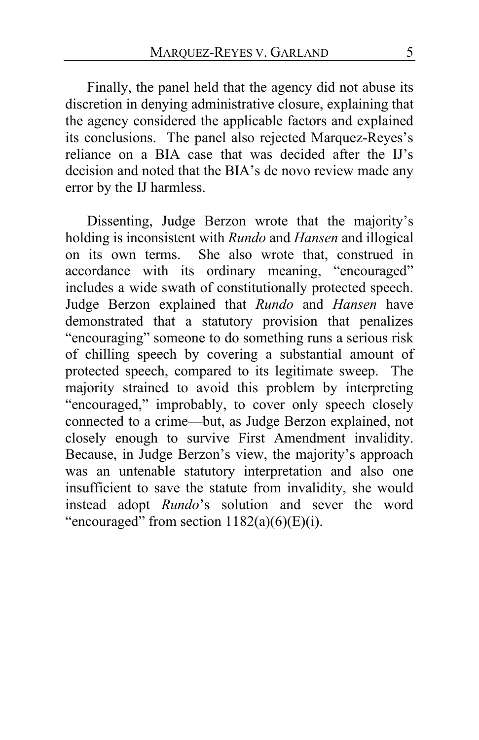Finally, the panel held that the agency did not abuse its discretion in denying administrative closure, explaining that the agency considered the applicable factors and explained its conclusions. The panel also rejected Marquez-Reyes's reliance on a BIA case that was decided after the IJ's decision and noted that the BIA's de novo review made any error by the IJ harmless.

Dissenting, Judge Berzon wrote that the majority's holding is inconsistent with *Rundo* and *Hansen* and illogical on its own terms. She also wrote that, construed in accordance with its ordinary meaning, "encouraged" includes a wide swath of constitutionally protected speech. Judge Berzon explained that *Rundo* and *Hansen* have demonstrated that a statutory provision that penalizes "encouraging" someone to do something runs a serious risk of chilling speech by covering a substantial amount of protected speech, compared to its legitimate sweep. The majority strained to avoid this problem by interpreting "encouraged," improbably, to cover only speech closely connected to a crime—but, as Judge Berzon explained, not closely enough to survive First Amendment invalidity. Because, in Judge Berzon's view, the majority's approach was an untenable statutory interpretation and also one insufficient to save the statute from invalidity, she would instead adopt *Rundo*'s solution and sever the word "encouraged" from section  $1182(a)(6)(E)(i)$ .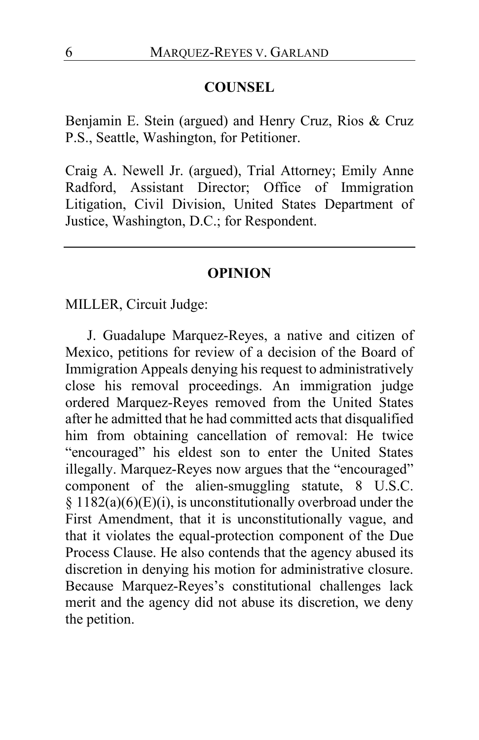### **COUNSEL**

Benjamin E. Stein (argued) and Henry Cruz, Rios & Cruz P.S., Seattle, Washington, for Petitioner.

Craig A. Newell Jr. (argued), Trial Attorney; Emily Anne Radford, Assistant Director; Office of Immigration Litigation, Civil Division, United States Department of Justice, Washington, D.C.; for Respondent.

#### **OPINION**

MILLER, Circuit Judge:

J. Guadalupe Marquez-Reyes, a native and citizen of Mexico, petitions for review of a decision of the Board of Immigration Appeals denying his request to administratively close his removal proceedings. An immigration judge ordered Marquez-Reyes removed from the United States after he admitted that he had committed acts that disqualified him from obtaining cancellation of removal: He twice "encouraged" his eldest son to enter the United States illegally. Marquez-Reyes now argues that the "encouraged" component of the alien-smuggling statute, 8 U.S.C.  $§ 1182(a)(6)(E)(i)$ , is unconstitutionally overbroad under the First Amendment, that it is unconstitutionally vague, and that it violates the equal-protection component of the Due Process Clause. He also contends that the agency abused its discretion in denying his motion for administrative closure. Because Marquez-Reyes's constitutional challenges lack merit and the agency did not abuse its discretion, we deny the petition.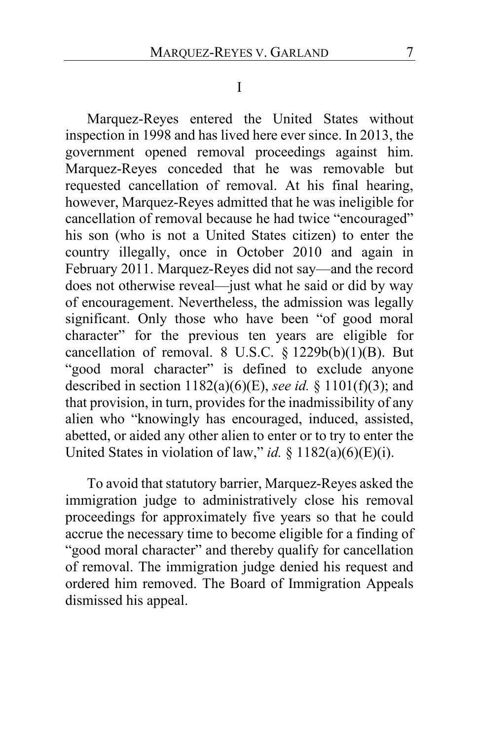I

Marquez-Reyes entered the United States without inspection in 1998 and has lived here ever since. In 2013, the government opened removal proceedings against him. Marquez-Reyes conceded that he was removable but requested cancellation of removal. At his final hearing, however, Marquez-Reyes admitted that he was ineligible for cancellation of removal because he had twice "encouraged" his son (who is not a United States citizen) to enter the country illegally, once in October 2010 and again in February 2011. Marquez-Reyes did not say—and the record does not otherwise reveal—just what he said or did by way of encouragement. Nevertheless, the admission was legally significant. Only those who have been "of good moral character" for the previous ten years are eligible for cancellation of removal. 8 U.S.C.  $\S$  1229b(b)(1)(B). But "good moral character" is defined to exclude anyone described in section 1182(a)(6)(E), *see id.* § 1101(f)(3); and that provision, in turn, provides for the inadmissibility of any alien who "knowingly has encouraged, induced, assisted, abetted, or aided any other alien to enter or to try to enter the United States in violation of law," *id.* § 1182(a)(6)(E)(i).

To avoid that statutory barrier, Marquez-Reyes asked the immigration judge to administratively close his removal proceedings for approximately five years so that he could accrue the necessary time to become eligible for a finding of "good moral character" and thereby qualify for cancellation of removal. The immigration judge denied his request and ordered him removed. The Board of Immigration Appeals dismissed his appeal.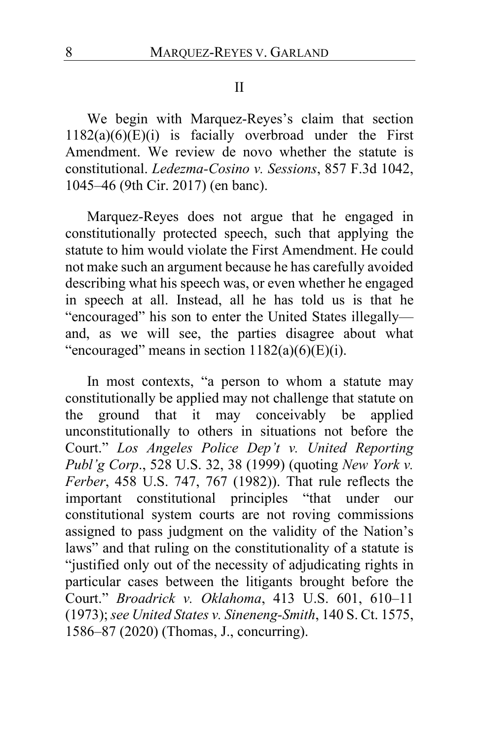#### II

We begin with Marquez-Reyes's claim that section  $1182(a)(6)(E)(i)$  is facially overbroad under the First Amendment. We review de novo whether the statute is constitutional. *Ledezma-Cosino v. Sessions*, 857 F.3d 1042, 1045–46 (9th Cir. 2017) (en banc).

Marquez-Reyes does not argue that he engaged in constitutionally protected speech, such that applying the statute to him would violate the First Amendment. He could not make such an argument because he has carefully avoided describing what his speech was, or even whether he engaged in speech at all. Instead, all he has told us is that he "encouraged" his son to enter the United States illegally and, as we will see, the parties disagree about what "encouraged" means in section  $1182(a)(6)(E)(i)$ .

In most contexts, "a person to whom a statute may constitutionally be applied may not challenge that statute on the ground that it may conceivably be applied unconstitutionally to others in situations not before the Court." *Los Angeles Police Dep't v. United Reporting Publ'g Corp*., 528 U.S. 32, 38 (1999) (quoting *New York v. Ferber*, 458 U.S. 747, 767 (1982)). That rule reflects the important constitutional principles "that under our constitutional system courts are not roving commissions assigned to pass judgment on the validity of the Nation's laws" and that ruling on the constitutionality of a statute is "justified only out of the necessity of adjudicating rights in particular cases between the litigants brought before the Court." *Broadrick v. Oklahoma*, 413 U.S. 601, 610–11 (1973); *see United States v. Sineneng-Smith*, 140 S. Ct. 1575, 1586–87 (2020) (Thomas, J., concurring).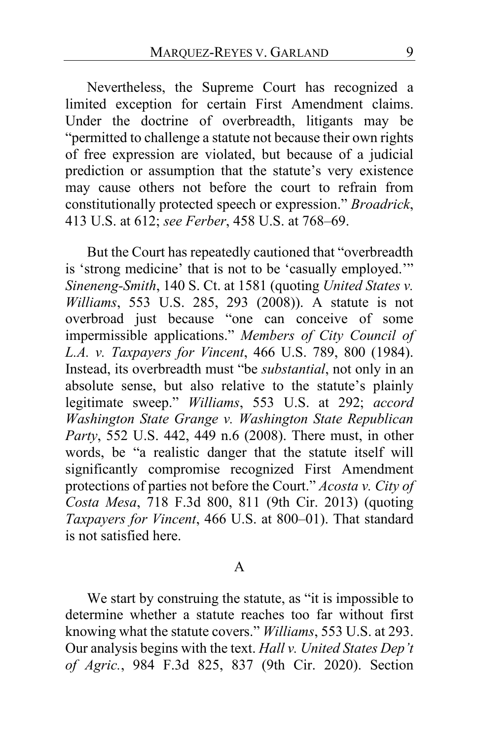Nevertheless, the Supreme Court has recognized a limited exception for certain First Amendment claims. Under the doctrine of overbreadth, litigants may be "permitted to challenge a statute not because their own rights of free expression are violated, but because of a judicial prediction or assumption that the statute's very existence may cause others not before the court to refrain from constitutionally protected speech or expression." *Broadrick*, 413 U.S. at 612; *see Ferber*, 458 U.S. at 768–69.

But the Court has repeatedly cautioned that "overbreadth is 'strong medicine' that is not to be 'casually employed.'" *Sineneng-Smith*, 140 S. Ct. at 1581 (quoting *United States v. Williams*, 553 U.S. 285, 293 (2008)). A statute is not overbroad just because "one can conceive of some impermissible applications." *Members of City Council of L.A. v. Taxpayers for Vincent*, 466 U.S. 789, 800 (1984). Instead, its overbreadth must "be *substantial*, not only in an absolute sense, but also relative to the statute's plainly legitimate sweep." *Williams*, 553 U.S. at 292; *accord Washington State Grange v. Washington State Republican Party*, 552 U.S. 442, 449 n.6 (2008). There must, in other words, be "a realistic danger that the statute itself will significantly compromise recognized First Amendment protections of parties not before the Court." *Acosta v. City of Costa Mesa*, 718 F.3d 800, 811 (9th Cir. 2013) (quoting *Taxpayers for Vincent*, 466 U.S. at 800–01). That standard is not satisfied here.

#### A

We start by construing the statute, as "it is impossible to determine whether a statute reaches too far without first knowing what the statute covers." *Williams*, 553 U.S. at 293. Our analysis begins with the text. *Hall v. United States Dep't of Agric.*, 984 F.3d 825, 837 (9th Cir. 2020). Section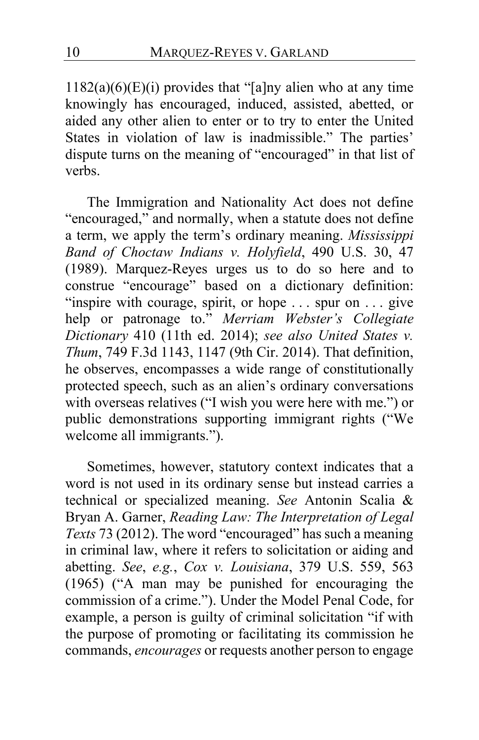$1182(a)(6)(E)(i)$  provides that "[a]ny alien who at any time knowingly has encouraged, induced, assisted, abetted, or aided any other alien to enter or to try to enter the United States in violation of law is inadmissible." The parties' dispute turns on the meaning of "encouraged" in that list of verbs.

The Immigration and Nationality Act does not define "encouraged," and normally, when a statute does not define a term, we apply the term's ordinary meaning. *Mississippi Band of Choctaw Indians v. Holyfield*, 490 U.S. 30, 47 (1989). Marquez-Reyes urges us to do so here and to construe "encourage" based on a dictionary definition: "inspire with courage, spirit, or hope . . . spur on . . . give help or patronage to." *Merriam Webster's Collegiate Dictionary* 410 (11th ed. 2014); *see also United States v. Thum*, 749 F.3d 1143, 1147 (9th Cir. 2014). That definition, he observes, encompasses a wide range of constitutionally protected speech, such as an alien's ordinary conversations with overseas relatives ("I wish you were here with me.") or public demonstrations supporting immigrant rights ("We welcome all immigrants.").

<span id="page-9-0"></span>Sometimes, however, statutory context indicates that a word is not used in its ordinary sense but instead carries a technical or specialized meaning. *See* Antonin Scalia & Bryan A. Garner, *Reading Law: The Interpretation of Legal Texts* 73 (2012). The word "encouraged" has such a meaning in criminal law, where it refers to solicitation or aiding and abetting. *See*, *e.g.*, *Cox v. Louisiana*, 379 U.S. 559, 563 (1965) ("A man may be punished for encouraging the commission of a crime."). Under the Model Penal Code, for example, a person is guilty of criminal solicitation "if with the purpose of promoting or facilitating its commission he commands, *encourages* or requests another person to engage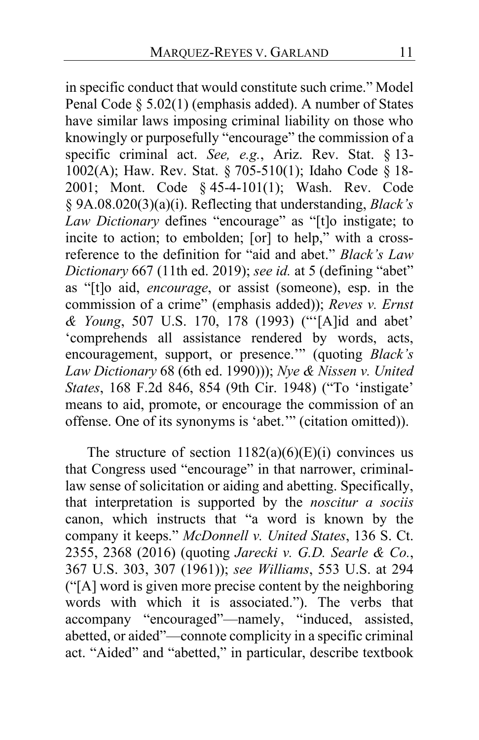<span id="page-10-1"></span>in specific conduct that would constitute such crime." Model Penal Code § 5.02(1) (emphasis added). A number of States have similar laws imposing criminal liability on those who knowingly or purposefully "encourage" the commission of a specific criminal act. *See, e.g.*, Ariz. Rev. Stat. § 13- 1002(A); Haw. Rev. Stat. § 705-510(1); Idaho Code § 18- 2001; Mont. Code § 45-4-101(1); Wash. Rev. Code § 9A.08.020(3)(a)(i). Reflecting that understanding, *Black's Law Dictionary* defines "encourage" as "[t]o instigate; to incite to action; to embolden; [or] to help," with a crossreference to the definition for "aid and abet." *Black's Law Dictionary* 667 (11th ed. 2019); *see id.* at 5 (defining "abet" as "[t]o aid, *encourage*, or assist (someone), esp. in the commission of a crime" (emphasis added)); *Reves v. Ernst & Young*, 507 U.S. 170, 178 (1993) ("'[A]id and abet' 'comprehends all assistance rendered by words, acts, encouragement, support, or presence.'" (quoting *Black's Law Dictionary* 68 (6th ed. 1990))); *Nye & Nissen v. United States*, 168 F.2d 846, 854 (9th Cir. 1948) ("To 'instigate' means to aid, promote, or encourage the commission of an offense. One of its synonyms is 'abet.'" (citation omitted)).

<span id="page-10-0"></span>The structure of section  $1182(a)(6)(E)(i)$  convinces us that Congress used "encourage" in that narrower, criminallaw sense of solicitation or aiding and abetting. Specifically, that interpretation is supported by the *noscitur a sociis*  canon, which instructs that "a word is known by the company it keeps." *McDonnell v. United States*, 136 S. Ct. 2355, 2368 (2016) (quoting *Jarecki v. G.D. Searle & Co.*, 367 U.S. 303, 307 (1961)); *see Williams*, 553 U.S. at 294 ("[A] word is given more precise content by the neighboring words with which it is associated."). The verbs that accompany "encouraged"—namely, "induced, assisted, abetted, or aided"—connote complicity in a specific criminal act. "Aided" and "abetted," in particular, describe textbook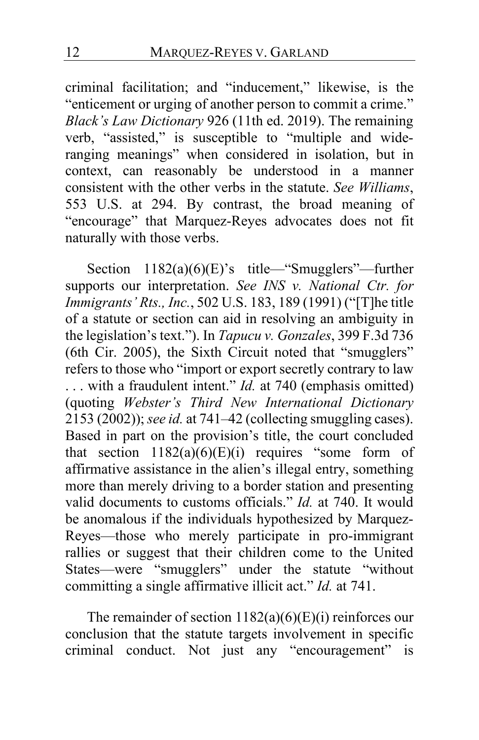criminal facilitation; and "inducement," likewise, is the "enticement or urging of another person to commit a crime." *Black's Law Dictionary* 926 (11th ed. 2019). The remaining verb, "assisted," is susceptible to "multiple and wideranging meanings" when considered in isolation, but in context, can reasonably be understood in a manner consistent with the other verbs in the statute. *See Williams*, 553 U.S. at 294. By contrast, the broad meaning of "encourage" that Marquez-Reyes advocates does not fit naturally with those verbs.

<span id="page-11-0"></span>Section 1182(a)(6)(E)'s title—"Smugglers"—further supports our interpretation. *See INS v. National Ctr. for Immigrants' Rts., Inc.*, 502 U.S. 183, 189 (1991) ("[T]he title of a statute or section can aid in resolving an ambiguity in the legislation's text."). In *Tapucu v. Gonzales*, 399 F.3d 736 (6th Cir. 2005), the Sixth Circuit noted that "smugglers" refers to those who "import or export secretly contrary to law . . . with a fraudulent intent." *Id.* at 740 (emphasis omitted) (quoting *Webster's Third New International Dictionary* 2153 (2002)); *see id.* at 741–42 (collecting smuggling cases). Based in part on the provision's title, the court concluded that section  $1182(a)(6)(E)(i)$  requires "some form of affirmative assistance in the alien's illegal entry, something more than merely driving to a border station and presenting valid documents to customs officials." *Id.* at 740. It would be anomalous if the individuals hypothesized by Marquez-Reyes—those who merely participate in pro-immigrant rallies or suggest that their children come to the United States—were "smugglers" under the statute "without committing a single affirmative illicit act." *Id.* at 741.

The remainder of section  $1182(a)(6)(E)(i)$  reinforces our conclusion that the statute targets involvement in specific criminal conduct. Not just any "encouragement" is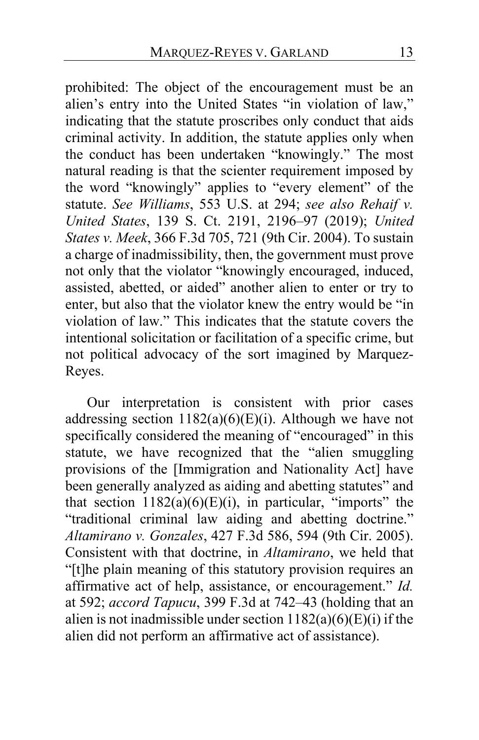prohibited: The object of the encouragement must be an alien's entry into the United States "in violation of law," indicating that the statute proscribes only conduct that aids criminal activity. In addition, the statute applies only when the conduct has been undertaken "knowingly." The most natural reading is that the scienter requirement imposed by the word "knowingly" applies to "every element" of the statute. *See Williams*, 553 U.S. at 294; *see also Rehaif v. United States*, 139 S. Ct. 2191, 2196–97 (2019); *United States v. Meek*, 366 F.3d 705, 721 (9th Cir. 2004). To sustain a charge of inadmissibility, then, the government must prove not only that the violator "knowingly encouraged, induced, assisted, abetted, or aided" another alien to enter or try to enter, but also that the violator knew the entry would be "in violation of law." This indicates that the statute covers the intentional solicitation or facilitation of a specific crime, but not political advocacy of the sort imagined by Marquez-Reyes.

Our interpretation is consistent with prior cases addressing section  $1182(a)(6)(E)(i)$ . Although we have not specifically considered the meaning of "encouraged" in this statute, we have recognized that the "alien smuggling provisions of the [Immigration and Nationality Act] have been generally analyzed as aiding and abetting statutes" and that section  $1182(a)(6)(E)(i)$ , in particular, "imports" the "traditional criminal law aiding and abetting doctrine." *Altamirano v. Gonzales*, 427 F.3d 586, 594 (9th Cir. 2005). Consistent with that doctrine, in *Altamirano*, we held that "[t]he plain meaning of this statutory provision requires an affirmative act of help, assistance, or encouragement." *Id.* at 592; *accord Tapucu*, 399 F.3d at 742–43 (holding that an alien is not inadmissible under section  $1182(a)(6)(E)(i)$  if the alien did not perform an affirmative act of assistance).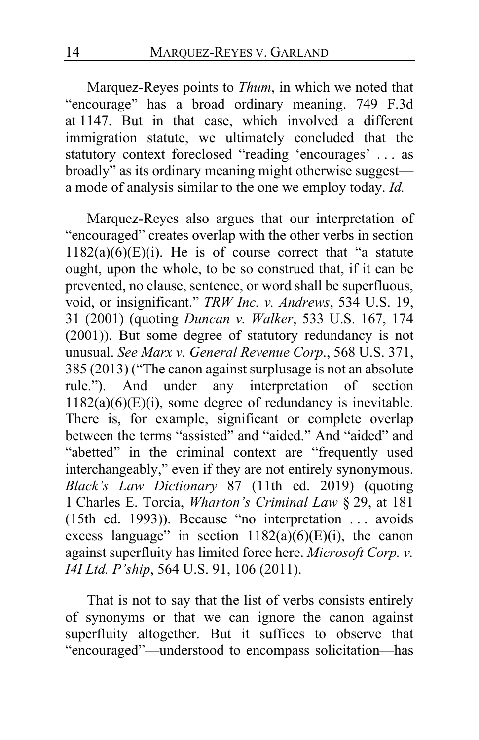Marquez-Reyes points to *Thum*, in which we noted that "encourage" has a broad ordinary meaning. 749 F.3d at 1147. But in that case, which involved a different immigration statute, we ultimately concluded that the statutory context foreclosed "reading 'encourages' . . . as broadly" as its ordinary meaning might otherwise suggest a mode of analysis similar to the one we employ today. *Id.*

Marquez-Reyes also argues that our interpretation of "encouraged" creates overlap with the other verbs in section  $1182(a)(6)(E)(i)$ . He is of course correct that "a statute" ought, upon the whole, to be so construed that, if it can be prevented, no clause, sentence, or word shall be superfluous, void, or insignificant." *TRW Inc. v. Andrews*, 534 U.S. 19, 31 (2001) (quoting *Duncan v. Walker*, 533 U.S. 167, 174 (2001)). But some degree of statutory redundancy is not unusual. *See Marx v. General Revenue Corp*., 568 U.S. 371, 385 (2013) ("The canon against surplusage is not an absolute rule."). And under any interpretation of section 1182(a)(6)(E)(i), some degree of redundancy is inevitable. There is, for example, significant or complete overlap between the terms "assisted" and "aided." And "aided" and "abetted" in the criminal context are "frequently used interchangeably," even if they are not entirely synonymous. *Black's Law Dictionary* 87 (11th ed. 2019) (quoting 1 Charles E. Torcia, *Wharton's Criminal Law* § 29, at 181 (15th ed. 1993)). Because "no interpretation . . . avoids excess language" in section  $1182(a)(6)(E)(i)$ , the canon against superfluity has limited force here. *Microsoft Corp. v. I4I Ltd. P'ship*, 564 U.S. 91, 106 (2011).

<span id="page-13-0"></span>That is not to say that the list of verbs consists entirely of synonyms or that we can ignore the canon against superfluity altogether. But it suffices to observe that "encouraged"—understood to encompass solicitation—has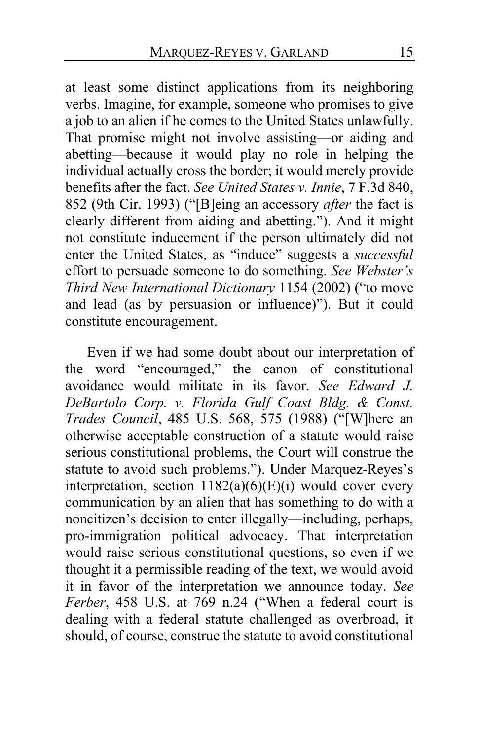at least some distinct applications from its neighboring verbs. Imagine, for example, someone who promises to give a job to an alien if he comes to the United States unlawfully. That promise might not involve assisting—or aiding and abetting—because it would play no role in helping the individual actually cross the border; it would merely provide benefits after the fact. *See United States v. Innie*, 7 F.3d 840, 852 (9th Cir. 1993) ("[B]eing an accessory *after* the fact is clearly different from aiding and abetting."). And it might not constitute inducement if the person ultimately did not enter the United States, as "induce" suggests a *successful* effort to persuade someone to do something. *See Webster's Third New International Dictionary* 1154 (2002) ("to move and lead (as by persuasion or influence)"). But it could constitute encouragement.

Even if we had some doubt about our interpretation of the word "encouraged," the canon of constitutional avoidance would militate in its favor. *See Edward J. DeBartolo Corp. v. Florida Gulf Coast Bldg. & Const. Trades Council*, 485 U.S. 568, 575 (1988) ("[W]here an otherwise acceptable construction of a statute would raise serious constitutional problems, the Court will construe the statute to avoid such problems."). Under Marquez-Reyes's interpretation, section  $1182(a)(6)(E)(i)$  would cover every communication by an alien that has something to do with a noncitizen's decision to enter illegally—including, perhaps, pro-immigration political advocacy. That interpretation would raise serious constitutional questions, so even if we thought it a permissible reading of the text, we would avoid it in favor of the interpretation we announce today. *See Ferber*, 458 U.S. at 769 n.24 ("When a federal court is dealing with a federal statute challenged as overbroad, it should, of course, construe the statute to avoid constitutional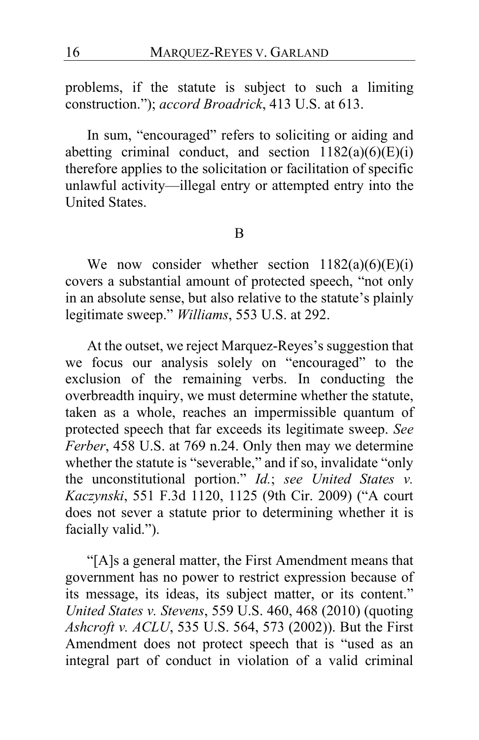problems, if the statute is subject to such a limiting construction."); *accord Broadrick*, 413 U.S. at 613.

In sum, "encouraged" refers to soliciting or aiding and abetting criminal conduct, and section  $1182(a)(6)(E)(i)$ therefore applies to the solicitation or facilitation of specific unlawful activity—illegal entry or attempted entry into the United States.

B

We now consider whether section  $1182(a)(6)(E)(i)$ covers a substantial amount of protected speech, "not only in an absolute sense, but also relative to the statute's plainly legitimate sweep." *Williams*, 553 U.S. at 292.

At the outset, we reject Marquez-Reyes's suggestion that we focus our analysis solely on "encouraged" to the exclusion of the remaining verbs. In conducting the overbreadth inquiry, we must determine whether the statute, taken as a whole, reaches an impermissible quantum of protected speech that far exceeds its legitimate sweep. *See Ferber*, 458 U.S. at 769 n.24. Only then may we determine whether the statute is "severable," and if so, invalidate "only the unconstitutional portion." *Id.*; *see United States v. Kaczynski*, 551 F.3d 1120, 1125 (9th Cir. 2009) ("A court does not sever a statute prior to determining whether it is facially valid.").

"[A]s a general matter, the First Amendment means that government has no power to restrict expression because of its message, its ideas, its subject matter, or its content." *United States v. Stevens*, 559 U.S. 460, 468 (2010) (quoting *Ashcroft v. ACLU*, 535 U.S. 564, 573 (2002)). But the First Amendment does not protect speech that is "used as an integral part of conduct in violation of a valid criminal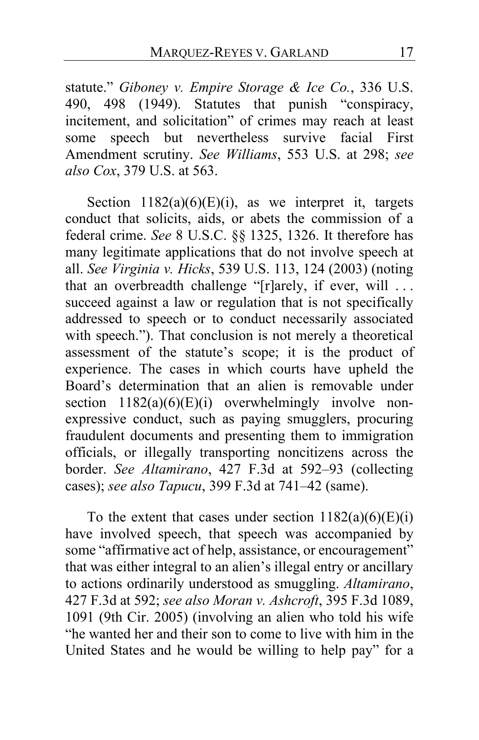statute." *Giboney v. Empire Storage & Ice Co.*, 336 U.S. 490, 498 (1949). Statutes that punish "conspiracy, incitement, and solicitation" of crimes may reach at least some speech but nevertheless survive facial First Amendment scrutiny. *See Williams*, 553 U.S. at 298; *see also Cox*, 379 U.S. at 563.

Section  $1182(a)(6)(E)(i)$ , as we interpret it, targets conduct that solicits, aids, or abets the commission of a federal crime. *See* 8 U.S.C. §§ 1325, 1326. It therefore has many legitimate applications that do not involve speech at all. *See Virginia v. Hicks*, 539 U.S. 113, 124 (2003) (noting that an overbreadth challenge "[r]arely, if ever, will ... succeed against a law or regulation that is not specifically addressed to speech or to conduct necessarily associated with speech."). That conclusion is not merely a theoretical assessment of the statute's scope; it is the product of experience. The cases in which courts have upheld the Board's determination that an alien is removable under section  $1182(a)(6)(E)(i)$  overwhelmingly involve nonexpressive conduct, such as paying smugglers, procuring fraudulent documents and presenting them to immigration officials, or illegally transporting noncitizens across the border. *See Altamirano*, 427 F.3d at 592–93 (collecting cases); *see also Tapucu*, 399 F.3d at 741–42 (same).

To the extent that cases under section  $1182(a)(6)(E)(i)$ have involved speech, that speech was accompanied by some "affirmative act of help, assistance, or encouragement" that was either integral to an alien's illegal entry or ancillary to actions ordinarily understood as smuggling. *Altamirano*, 427 F.3d at 592; *see also Moran v. Ashcroft*, 395 F.3d 1089, 1091 (9th Cir. 2005) (involving an alien who told his wife "he wanted her and their son to come to live with him in the United States and he would be willing to help pay" for a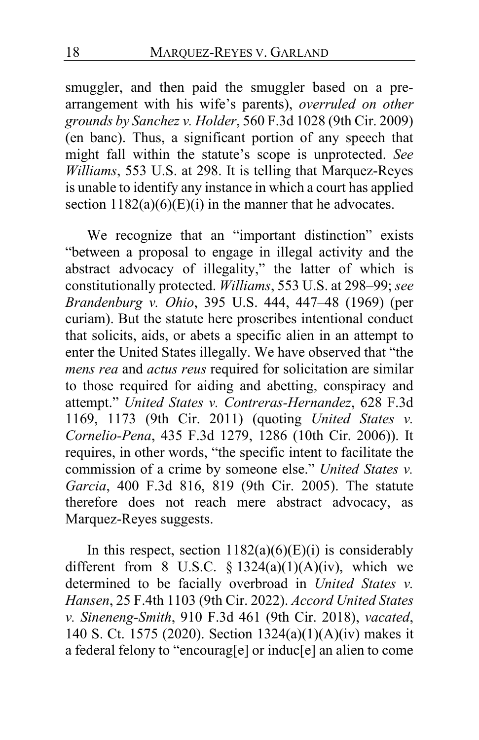smuggler, and then paid the smuggler based on a prearrangement with his wife's parents), *overruled on other grounds by Sanchez v. Holder*, 560 F.3d 1028 (9th Cir. 2009) (en banc). Thus, a significant portion of any speech that might fall within the statute's scope is unprotected. *See Williams*, 553 U.S. at 298. It is telling that Marquez-Reyes is unable to identify any instance in which a court has applied section  $1182(a)(6)(E)(i)$  in the manner that he advocates.

We recognize that an "important distinction" exists "between a proposal to engage in illegal activity and the abstract advocacy of illegality," the latter of which is constitutionally protected. *Williams*, 553 U.S. at 298–99; *see Brandenburg v. Ohio*, 395 U.S. 444, 447–48 (1969) (per curiam). But the statute here proscribes intentional conduct that solicits, aids, or abets a specific alien in an attempt to enter the United States illegally. We have observed that "the *mens rea* and *actus reus* required for solicitation are similar to those required for aiding and abetting, conspiracy and attempt." *United States v. Contreras-Hernandez*, 628 F.3d 1169, 1173 (9th Cir. 2011) (quoting *United States v. Cornelio-Pena*, 435 F.3d 1279, 1286 (10th Cir. 2006)). It requires, in other words, "the specific intent to facilitate the commission of a crime by someone else." *United States v. Garcia*, 400 F.3d 816, 819 (9th Cir. 2005). The statute therefore does not reach mere abstract advocacy, as Marquez-Reyes suggests.

In this respect, section  $1182(a)(6)(E)(i)$  is considerably different from 8 U.S.C. §  $1324(a)(1)(A)(iv)$ , which we determined to be facially overbroad in *United States v. Hansen*, 25 F.4th 1103 (9th Cir. 2022). *Accord United States v. Sineneng-Smith*, 910 F.3d 461 (9th Cir. 2018), *vacated*, 140 S. Ct. 1575 (2020). Section 1324(a)(1)(A)(iv) makes it a federal felony to "encourag[e] or induc[e] an alien to come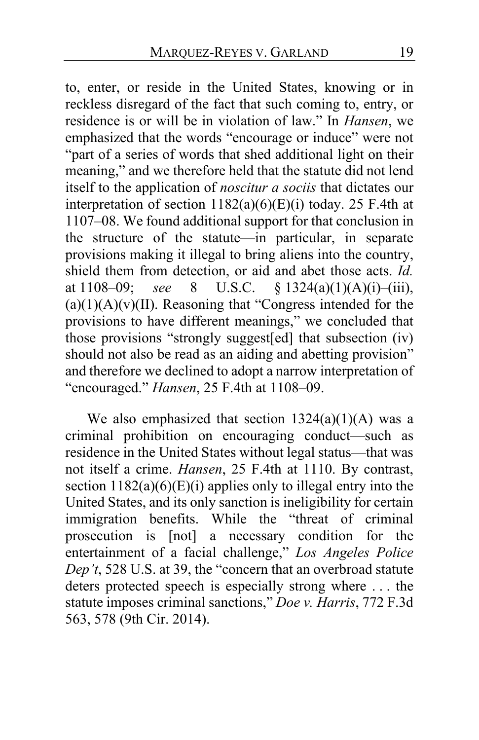to, enter, or reside in the United States, knowing or in reckless disregard of the fact that such coming to, entry, or residence is or will be in violation of law." In *Hansen*, we emphasized that the words "encourage or induce" were not "part of a series of words that shed additional light on their meaning," and we therefore held that the statute did not lend itself to the application of *noscitur a sociis* that dictates our interpretation of section  $1182(a)(6)(E)(i)$  today. 25 F.4th at 1107–08. We found additional support for that conclusion in the structure of the statute—in particular, in separate provisions making it illegal to bring aliens into the country, shield them from detection, or aid and abet those acts. *Id.* at 1108–09; *see* 8 U.S.C. § 1324(a)(1)(A)(i)–(iii),  $(a)(1)(A)(v)(II)$ . Reasoning that "Congress intended for the provisions to have different meanings," we concluded that those provisions "strongly suggest[ed] that subsection (iv) should not also be read as an aiding and abetting provision" and therefore we declined to adopt a narrow interpretation of "encouraged." *Hansen*, 25 F.4th at 1108–09.

We also emphasized that section  $1324(a)(1)(A)$  was a criminal prohibition on encouraging conduct—such as residence in the United States without legal status—that was not itself a crime. *Hansen*, 25 F.4th at 1110. By contrast, section  $1182(a)(6)(E)(i)$  applies only to illegal entry into the United States, and its only sanction is ineligibility for certain immigration benefits. While the "threat of criminal prosecution is [not] a necessary condition for the entertainment of a facial challenge," *Los Angeles Police Dep't*, 528 U.S. at 39, the "concern that an overbroad statute deters protected speech is especially strong where . . . the statute imposes criminal sanctions," *Doe v. Harris*, 772 F.3d 563, 578 (9th Cir. 2014).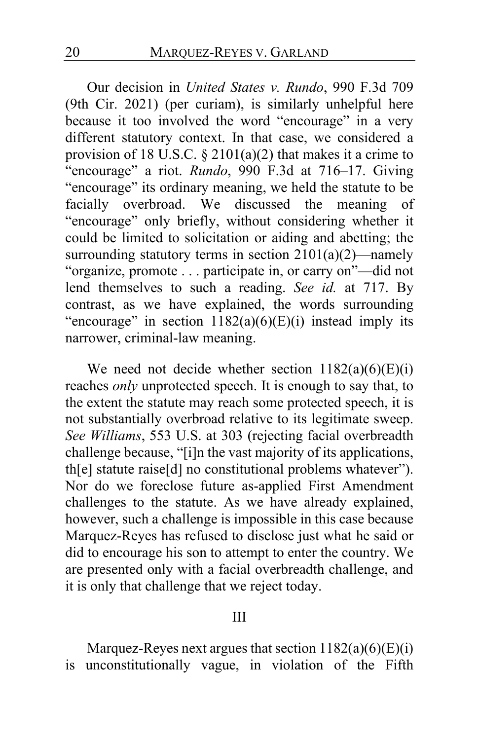Our decision in *United States v. Rundo*, 990 F.3d 709 (9th Cir. 2021) (per curiam), is similarly unhelpful here because it too involved the word "encourage" in a very different statutory context. In that case, we considered a provision of 18 U.S.C.  $\S 2101(a)(2)$  that makes it a crime to "encourage" a riot. *Rundo*, 990 F.3d at 716–17. Giving "encourage" its ordinary meaning, we held the statute to be facially overbroad. We discussed the meaning of "encourage" only briefly, without considering whether it could be limited to solicitation or aiding and abetting; the surrounding statutory terms in section  $2101(a)(2)$ —namely "organize, promote . . . participate in, or carry on"—did not lend themselves to such a reading. *See id.* at 717. By contrast, as we have explained, the words surrounding "encourage" in section  $1182(a)(6)(E)(i)$  instead imply its narrower, criminal-law meaning.

We need not decide whether section  $1182(a)(6)(E)(i)$ reaches *only* unprotected speech. It is enough to say that, to the extent the statute may reach some protected speech, it is not substantially overbroad relative to its legitimate sweep. *See Williams*, 553 U.S. at 303 (rejecting facial overbreadth challenge because, "[i]n the vast majority of its applications, th[e] statute raise[d] no constitutional problems whatever"). Nor do we foreclose future as-applied First Amendment challenges to the statute. As we have already explained, however, such a challenge is impossible in this case because Marquez-Reyes has refused to disclose just what he said or did to encourage his son to attempt to enter the country. We are presented only with a facial overbreadth challenge, and it is only that challenge that we reject today.

#### III

Marquez-Reyes next argues that section  $1182(a)(6)(E)(i)$ is unconstitutionally vague, in violation of the Fifth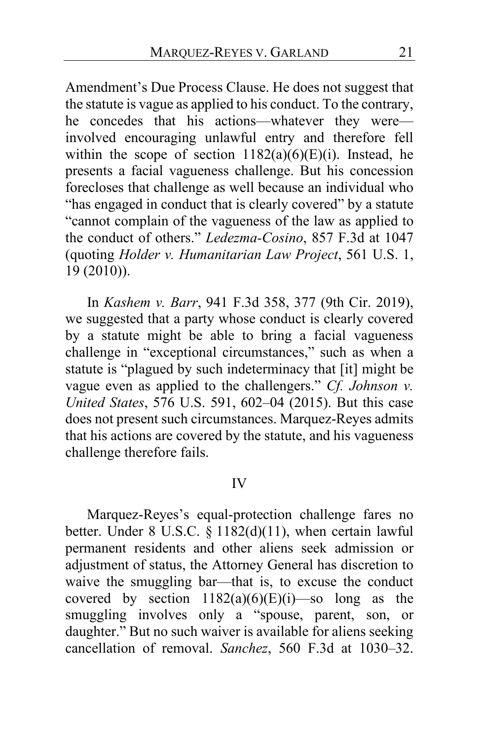Amendment's Due Process Clause. He does not suggest that the statute is vague as applied to his conduct. To the contrary, he concedes that his actions—whatever they were involved encouraging unlawful entry and therefore fell within the scope of section  $1182(a)(6)(E)(i)$ . Instead, he presents a facial vagueness challenge. But his concession forecloses that challenge as well because an individual who "has engaged in conduct that is clearly covered" by a statute "cannot complain of the vagueness of the law as applied to the conduct of others." *Ledezma-Cosino*, 857 F.3d at 1047 (quoting *Holder v. Humanitarian Law Project*, 561 U.S. 1, 19 (2010)).

In *Kashem v. Barr*, 941 F.3d 358, 377 (9th Cir. 2019), we suggested that a party whose conduct is clearly covered by a statute might be able to bring a facial vagueness challenge in "exceptional circumstances," such as when a statute is "plagued by such indeterminacy that [it] might be vague even as applied to the challengers." *Cf. Johnson v. United States*, 576 U.S. 591, 602–04 (2015). But this case does not present such circumstances. Marquez-Reyes admits that his actions are covered by the statute, and his vagueness challenge therefore fails.

#### IV

Marquez-Reyes's equal-protection challenge fares no better. Under 8 U.S.C.  $\S 1182(d)(11)$ , when certain lawful permanent residents and other aliens seek admission or adjustment of status, the Attorney General has discretion to waive the smuggling bar—that is, to excuse the conduct covered by section  $1182(a)(6)(E)(i)$ —so long as the smuggling involves only a "spouse, parent, son, or daughter." But no such waiver is available for aliens seeking cancellation of removal. *Sanchez*, 560 F.3d at 1030–32.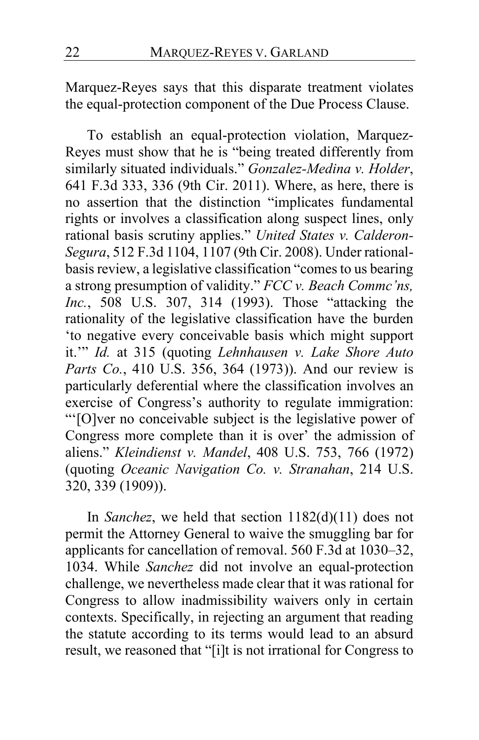Marquez-Reyes says that this disparate treatment violates the equal-protection component of the Due Process Clause.

To establish an equal-protection violation, Marquez-Reyes must show that he is "being treated differently from similarly situated individuals." *Gonzalez-Medina v. Holder*, 641 F.3d 333, 336 (9th Cir. 2011). Where, as here, there is no assertion that the distinction "implicates fundamental rights or involves a classification along suspect lines, only rational basis scrutiny applies." *United States v. Calderon-Segura*, 512 F.3d 1104, 1107 (9th Cir. 2008). Under rationalbasis review, a legislative classification "comes to us bearing a strong presumption of validity." *FCC v. Beach Commc'ns, Inc.*, 508 U.S. 307, 314 (1993). Those "attacking the rationality of the legislative classification have the burden 'to negative every conceivable basis which might support it.'" *Id.* at 315 (quoting *Lehnhausen v. Lake Shore Auto Parts Co.*, 410 U.S. 356, 364 (1973)). And our review is particularly deferential where the classification involves an exercise of Congress's authority to regulate immigration: "'[O]ver no conceivable subject is the legislative power of Congress more complete than it is over' the admission of aliens." *Kleindienst v. Mandel*, 408 U.S. 753, 766 (1972) (quoting *Oceanic Navigation Co. v. Stranahan*, 214 U.S. 320, 339 (1909)).

In *Sanchez*, we held that section 1182(d)(11) does not permit the Attorney General to waive the smuggling bar for applicants for cancellation of removal. 560 F.3d at 1030–32, 1034. While *Sanchez* did not involve an equal-protection challenge, we nevertheless made clear that it was rational for Congress to allow inadmissibility waivers only in certain contexts. Specifically, in rejecting an argument that reading the statute according to its terms would lead to an absurd result, we reasoned that "[i]t is not irrational for Congress to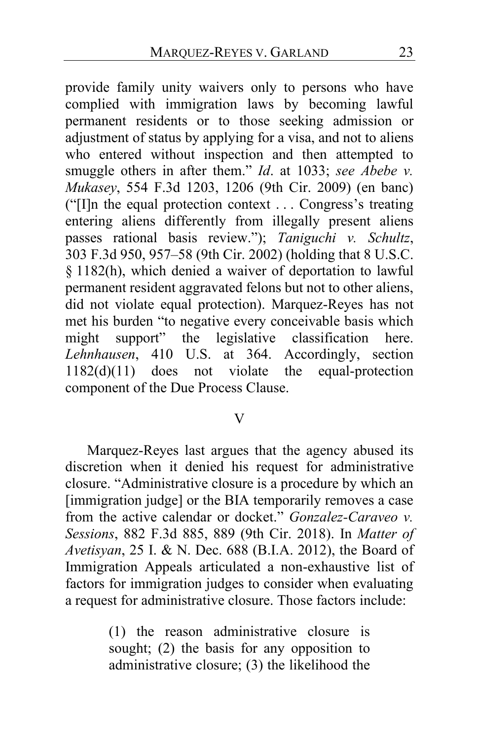provide family unity waivers only to persons who have complied with immigration laws by becoming lawful permanent residents or to those seeking admission or adjustment of status by applying for a visa, and not to aliens who entered without inspection and then attempted to smuggle others in after them." *Id*. at 1033; *see Abebe v. Mukasey*, 554 F.3d 1203, 1206 (9th Cir. 2009) (en banc) ("[I]n the equal protection context . . . Congress's treating entering aliens differently from illegally present aliens passes rational basis review."); *Taniguchi v. Schultz*, 303 F.3d 950, 957–58 (9th Cir. 2002) (holding that 8 U.S.C. § 1182(h), which denied a waiver of deportation to lawful permanent resident aggravated felons but not to other aliens, did not violate equal protection). Marquez-Reyes has not met his burden "to negative every conceivable basis which might support" the legislative classification here. *Lehnhausen*, 410 U.S. at 364. Accordingly, section 1182(d)(11) does not violate the equal-protection component of the Due Process Clause.

#### V

Marquez-Reyes last argues that the agency abused its discretion when it denied his request for administrative closure. "Administrative closure is a procedure by which an [immigration judge] or the BIA temporarily removes a case from the active calendar or docket." *Gonzalez-Caraveo v. Sessions*, 882 F.3d 885, 889 (9th Cir. 2018). In *Matter of Avetisyan*, 25 I. & N. Dec. 688 (B.I.A. 2012), the Board of Immigration Appeals articulated a non-exhaustive list of factors for immigration judges to consider when evaluating a request for administrative closure. Those factors include:

> (1) the reason administrative closure is sought; (2) the basis for any opposition to administrative closure; (3) the likelihood the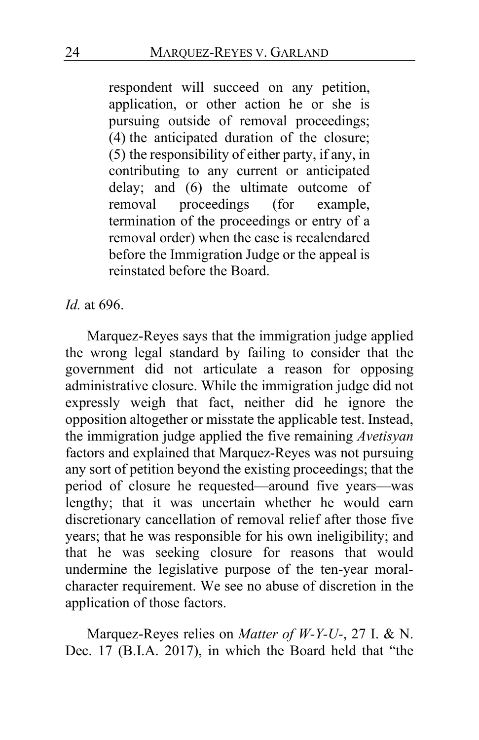respondent will succeed on any petition, application, or other action he or she is pursuing outside of removal proceedings; (4) the anticipated duration of the closure; (5) the responsibility of either party, if any, in contributing to any current or anticipated delay; and (6) the ultimate outcome of removal proceedings (for example, termination of the proceedings or entry of a removal order) when the case is recalendared before the Immigration Judge or the appeal is reinstated before the Board.

### *Id.* at 696.

Marquez-Reyes says that the immigration judge applied the wrong legal standard by failing to consider that the government did not articulate a reason for opposing administrative closure. While the immigration judge did not expressly weigh that fact, neither did he ignore the opposition altogether or misstate the applicable test. Instead, the immigration judge applied the five remaining *Avetisyan* factors and explained that Marquez-Reyes was not pursuing any sort of petition beyond the existing proceedings; that the period of closure he requested—around five years—was lengthy; that it was uncertain whether he would earn discretionary cancellation of removal relief after those five years; that he was responsible for his own ineligibility; and that he was seeking closure for reasons that would undermine the legislative purpose of the ten-year moralcharacter requirement. We see no abuse of discretion in the application of those factors.

Marquez-Reyes relies on *Matter of W-Y-U-*, 27 I. & N. Dec. 17 (B.I.A. 2017), in which the Board held that "the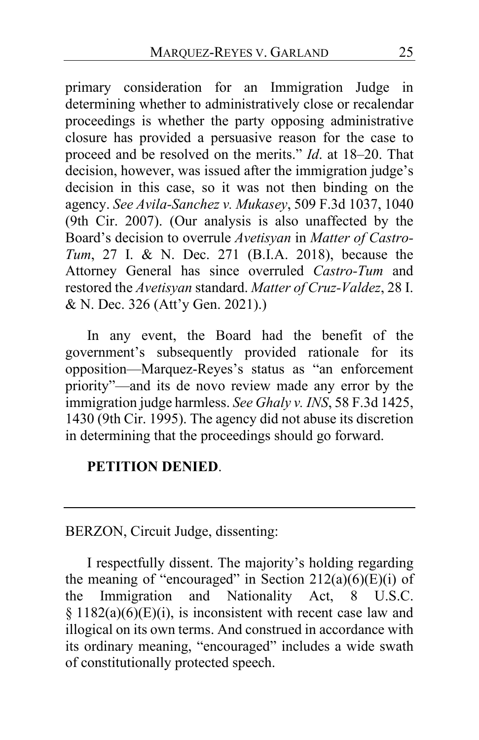primary consideration for an Immigration Judge in determining whether to administratively close or recalendar proceedings is whether the party opposing administrative closure has provided a persuasive reason for the case to proceed and be resolved on the merits." *Id*. at 18–20. That decision, however, was issued after the immigration judge's decision in this case, so it was not then binding on the agency. *See Avila-Sanchez v. Mukasey*, 509 F.3d 1037, 1040 (9th Cir. 2007). (Our analysis is also unaffected by the Board's decision to overrule *Avetisyan* in *Matter of Castro-Tum*, 27 I. & N. Dec. 271 (B.I.A. 2018), because the Attorney General has since overruled *Castro-Tum* and restored the *Avetisyan* standard. *Matter of Cruz-Valdez*, 28 I. & N. Dec. 326 (Att'y Gen. 2021).)

In any event, the Board had the benefit of the government's subsequently provided rationale for its opposition—Marquez-Reyes's status as "an enforcement priority"—and its de novo review made any error by the immigration judge harmless. *See Ghaly v. INS*, 58 F.3d 1425, 1430 (9th Cir. 1995). The agency did not abuse its discretion in determining that the proceedings should go forward.

### **PETITION DENIED**.

# BERZON, Circuit Judge, dissenting:

I respectfully dissent. The majority's holding regarding the meaning of "encouraged" in Section  $212(a)(6)(E)(i)$  of the Immigration and Nationality Act, 8 U.S.C.  $§ 1182(a)(6)(E)(i)$ , is inconsistent with recent case law and illogical on its own terms. And construed in accordance with its ordinary meaning, "encouraged" includes a wide swath of constitutionally protected speech.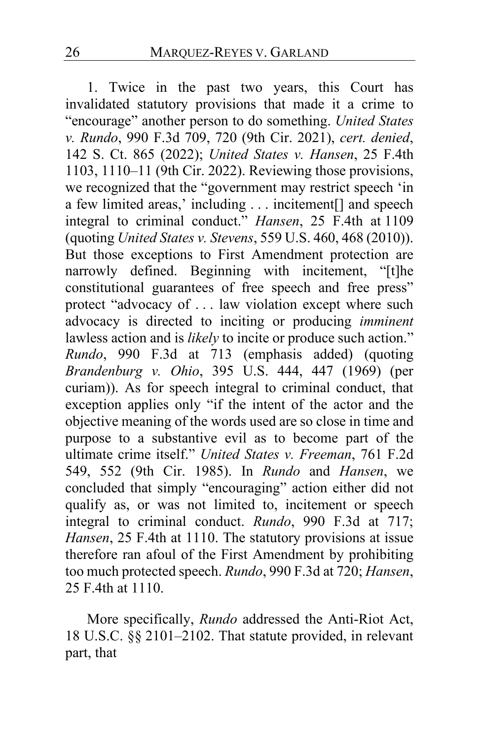1. Twice in the past two years, this Court has invalidated statutory provisions that made it a crime to "encourage" another person to do something. *United States v. Rundo*, 990 F.3d 709, 720 (9th Cir. 2021), *cert. denied*, 142 S. Ct. 865 (2022); *United States v. Hansen*, 25 F.4th 1103, 1110–11 (9th Cir. 2022). Reviewing those provisions, we recognized that the "government may restrict speech 'in a few limited areas,' including . . . incitement[] and speech integral to criminal conduct." *Hansen*, 25 F.4th at 1109 (quoting *United States v. Stevens*, 559 U.S. 460, 468 (2010)). But those exceptions to First Amendment protection are narrowly defined. Beginning with incitement, "[t]he constitutional guarantees of free speech and free press" protect "advocacy of . . . law violation except where such advocacy is directed to inciting or producing *imminent* lawless action and is *likely* to incite or produce such action." *Rundo*, 990 F.3d at 713 (emphasis added) (quoting *Brandenburg v. Ohio*, 395 U.S. 444, 447 (1969) (per curiam)). As for speech integral to criminal conduct, that exception applies only "if the intent of the actor and the objective meaning of the words used are so close in time and purpose to a substantive evil as to become part of the ultimate crime itself." *United States v. Freeman*, 761 F.2d 549, 552 (9th Cir. 1985). In *Rundo* and *Hansen*, we concluded that simply "encouraging" action either did not qualify as, or was not limited to, incitement or speech integral to criminal conduct. *Rundo*, 990 F.3d at 717; *Hansen*, 25 F.4th at 1110. The statutory provisions at issue therefore ran afoul of the First Amendment by prohibiting too much protected speech. *Rundo*, 990 F.3d at 720; *Hansen*, 25 F.4th at 1110.

More specifically, *Rundo* addressed the Anti-Riot Act, 18 U.S.C. §§ 2101–2102. That statute provided, in relevant part, that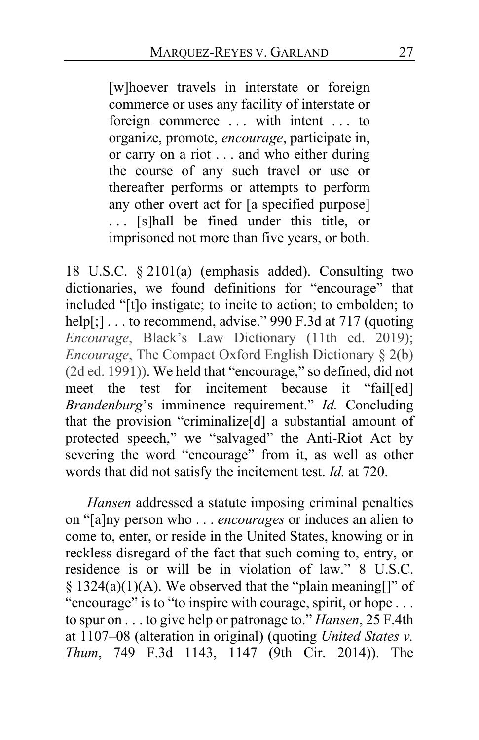[w]hoever travels in interstate or foreign commerce or uses any facility of interstate or foreign commerce ... with intent ... to organize, promote, *encourage*, participate in, or carry on a riot . . . and who either during the course of any such travel or use or thereafter performs or attempts to perform any other overt act for [a specified purpose] . . . [s]hall be fined under this title, or imprisoned not more than five years, or both.

18 U.S.C. § 2101(a) (emphasis added). Consulting two dictionaries, we found definitions for "encourage" that included "[t]o instigate; to incite to action; to embolden; to help[;] . . . to recommend, advise." 990 F.3d at 717 (quoting *Encourage*, Black's Law Dictionary (11th ed. 2019); *Encourage*, The Compact Oxford English Dictionary § 2(b) (2d ed. 1991)). We held that "encourage," so defined, did not meet the test for incitement because it "fail[ed] *Brandenburg*'s imminence requirement." *Id.* Concluding that the provision "criminalize[d] a substantial amount of protected speech," we "salvaged" the Anti-Riot Act by severing the word "encourage" from it, as well as other words that did not satisfy the incitement test. *Id.* at 720.

*Hansen* addressed a statute imposing criminal penalties on "[a]ny person who . . . *encourages* or induces an alien to come to, enter, or reside in the United States, knowing or in reckless disregard of the fact that such coming to, entry, or residence is or will be in violation of law." 8 U.S.C.  $§ 1324(a)(1)(A)$ . We observed that the "plain meaning[]" of "encourage" is to "to inspire with courage, spirit, or hope ... to spur on . . . to give help or patronage to." *Hansen*, 25 F.4th at 1107–08 (alteration in original) (quoting *United States v. Thum*, 749 F.3d 1143, 1147 (9th Cir. 2014)). The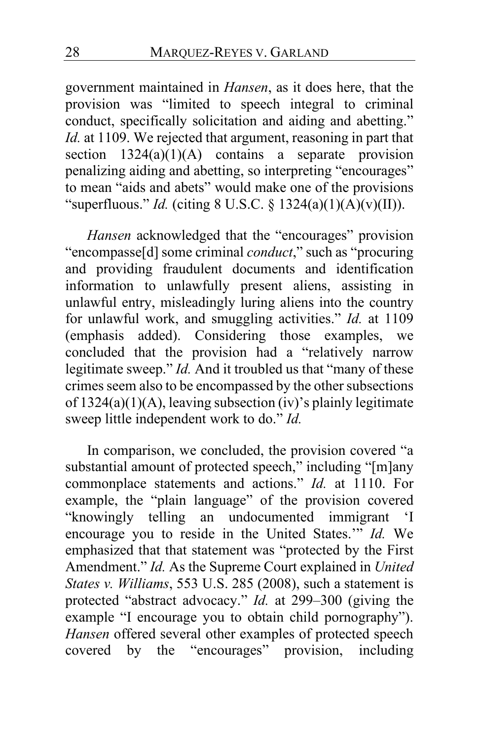government maintained in *Hansen*, as it does here, that the provision was "limited to speech integral to criminal conduct, specifically solicitation and aiding and abetting." *Id.* at 1109. We rejected that argument, reasoning in part that section  $1324(a)(1)(A)$  contains a separate provision penalizing aiding and abetting, so interpreting "encourages" to mean "aids and abets" would make one of the provisions "superfluous." *Id.* (citing 8 U.S.C. § 1324(a)(1)(A)(v)(II)).

*Hansen* acknowledged that the "encourages" provision "encompasse[d] some criminal *conduct*," such as "procuring and providing fraudulent documents and identification information to unlawfully present aliens, assisting in unlawful entry, misleadingly luring aliens into the country for unlawful work, and smuggling activities." *Id.* at 1109 (emphasis added). Considering those examples, we concluded that the provision had a "relatively narrow legitimate sweep." *Id.* And it troubled us that "many of these crimes seem also to be encompassed by the other subsections of  $1324(a)(1)(A)$ , leaving subsection (iv)'s plainly legitimate sweep little independent work to do." *Id.*

In comparison, we concluded, the provision covered "a substantial amount of protected speech," including "[m]any commonplace statements and actions." *Id.* at 1110. For example, the "plain language" of the provision covered "knowingly telling an undocumented immigrant 'I encourage you to reside in the United States.'" *Id.* We emphasized that that statement was "protected by the First Amendment." *Id.* As the Supreme Court explained in *United States v. Williams*, 553 U.S. 285 (2008), such a statement is protected "abstract advocacy." *Id.* at 299–300 (giving the example "I encourage you to obtain child pornography"). *Hansen* offered several other examples of protected speech covered by the "encourages" provision, including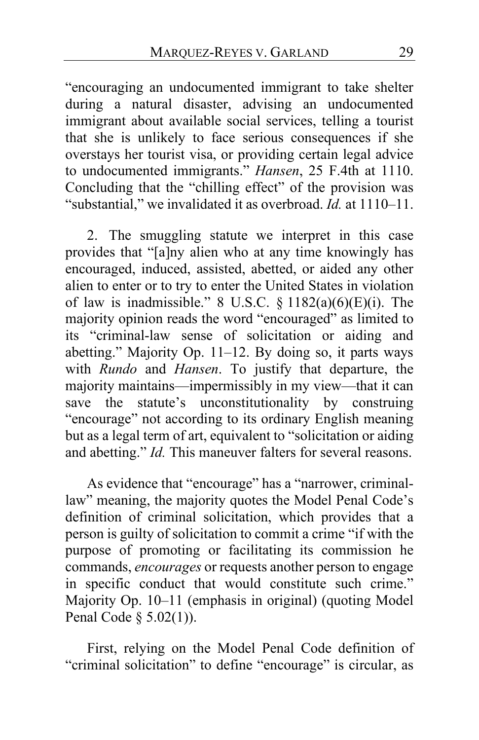"encouraging an undocumented immigrant to take shelter during a natural disaster, advising an undocumented immigrant about available social services, telling a tourist that she is unlikely to face serious consequences if she overstays her tourist visa, or providing certain legal advice to undocumented immigrants." *Hansen*, 25 F.4th at 1110. Concluding that the "chilling effect" of the provision was "substantial," we invalidated it as overbroad. *Id.* at 1110–11.

2. The smuggling statute we interpret in this case provides that "[a]ny alien who at any time knowingly has encouraged, induced, assisted, abetted, or aided any other alien to enter or to try to enter the United States in violation of law is inadmissible." 8 U.S.C.  $\S$  1182(a)(6)(E)(i). The majority opinion reads the word "encouraged" as limited to its "criminal-law sense of solicitation or aiding and abetting." Majority Op. [11](#page-10-0)[–12.](#page-11-0) By doing so, it parts ways with *Rundo* and *Hansen*. To justify that departure, the majority maintains—impermissibly in my view—that it can save the statute's unconstitutionality by construing "encourage" not according to its ordinary English meaning but as a legal term of art, equivalent to "solicitation or aiding and abetting." *Id.* This maneuver falters for several reasons.

As evidence that "encourage" has a "narrower, criminallaw" meaning, the majority quotes the Model Penal Code's definition of criminal solicitation, which provides that a person is guilty of solicitation to commit a crime "if with the purpose of promoting or facilitating its commission he commands, *encourages* or requests another person to engage in specific conduct that would constitute such crime." Majority Op. [10–](#page-9-0)[11](#page-10-1) (emphasis in original) (quoting Model Penal Code § 5.02(1)).

First, relying on the Model Penal Code definition of "criminal solicitation" to define "encourage" is circular, as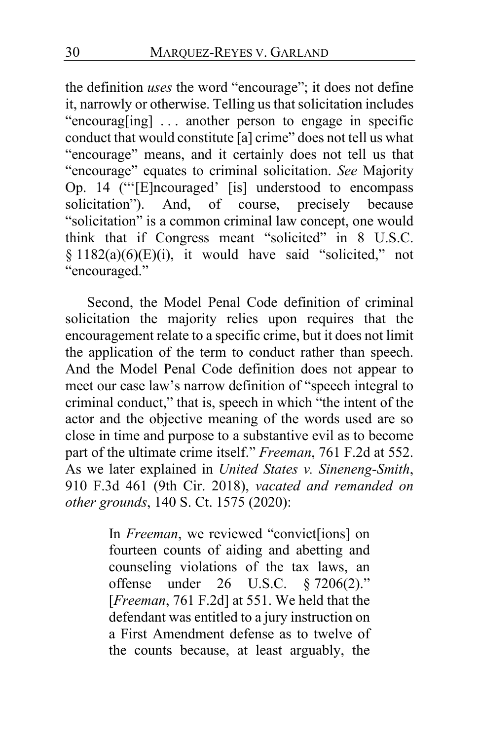the definition *uses* the word "encourage"; it does not define it, narrowly or otherwise. Telling us that solicitation includes "encourag[ing] . . . another person to engage in specific conduct that would constitute [a] crime" does not tell us what "encourage" means, and it certainly does not tell us that "encourage" equates to criminal solicitation. *See* Majority Op. [14](#page-13-0) ("'[E]ncouraged' [is] understood to encompass solicitation"). And, of course, precisely because "solicitation" is a common criminal law concept, one would think that if Congress meant "solicited" in 8 U.S.C.  $§ 1182(a)(6)(E)(i)$ , it would have said "solicited," not "encouraged."

Second, the Model Penal Code definition of criminal solicitation the majority relies upon requires that the encouragement relate to a specific crime, but it does not limit the application of the term to conduct rather than speech. And the Model Penal Code definition does not appear to meet our case law's narrow definition of "speech integral to criminal conduct," that is, speech in which "the intent of the actor and the objective meaning of the words used are so close in time and purpose to a substantive evil as to become part of the ultimate crime itself." *Freeman*, 761 F.2d at 552. As we later explained in *United States v. Sineneng-Smith*, 910 F.3d 461 (9th Cir. 2018), *vacated and remanded on other grounds*, 140 S. Ct. 1575 (2020):

> In *Freeman*, we reviewed "convict[ions] on fourteen counts of aiding and abetting and counseling violations of the tax laws, an offense under 26 U.S.C. § 7206(2)." [*Freeman*, 761 F.2d] at 551. We held that the defendant was entitled to a jury instruction on a First Amendment defense as to twelve of the counts because, at least arguably, the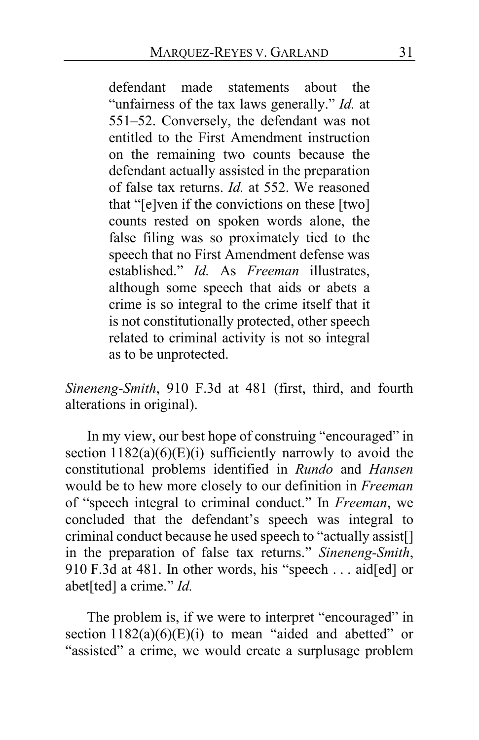defendant made statements about the "unfairness of the tax laws generally." *Id.* at 551–52. Conversely, the defendant was not entitled to the First Amendment instruction on the remaining two counts because the defendant actually assisted in the preparation of false tax returns. *Id.* at 552. We reasoned that "[e]ven if the convictions on these [two] counts rested on spoken words alone, the false filing was so proximately tied to the speech that no First Amendment defense was established." *Id.* As *Freeman* illustrates, although some speech that aids or abets a crime is so integral to the crime itself that it is not constitutionally protected, other speech related to criminal activity is not so integral as to be unprotected.

*Sineneng-Smith*, 910 F.3d at 481 (first, third, and fourth alterations in original).

In my view, our best hope of construing "encouraged" in section  $1182(a)(6)(E)(i)$  sufficiently narrowly to avoid the constitutional problems identified in *Rundo* and *Hansen* would be to hew more closely to our definition in *Freeman* of "speech integral to criminal conduct." In *Freeman*, we concluded that the defendant's speech was integral to criminal conduct because he used speech to "actually assist[] in the preparation of false tax returns." *Sineneng-Smith*, 910 F.3d at 481. In other words, his "speech . . . aid[ed] or abet[ted] a crime." *Id.*

The problem is, if we were to interpret "encouraged" in section  $1182(a)(6)(E)(i)$  to mean "aided and abetted" or "assisted" a crime, we would create a surplusage problem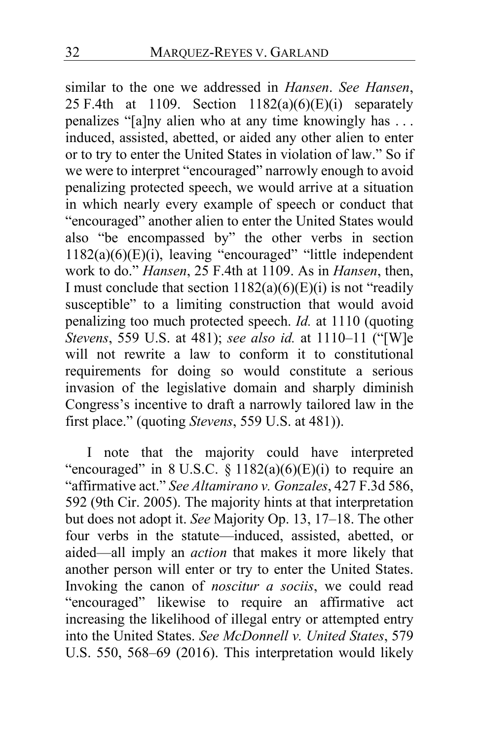similar to the one we addressed in *Hansen*. *See Hansen*, 25 F.4th at 1109. Section  $1182(a)(6)(E)(i)$  separately penalizes "[a]ny alien who at any time knowingly has . . . induced, assisted, abetted, or aided any other alien to enter or to try to enter the United States in violation of law." So if we were to interpret "encouraged" narrowly enough to avoid penalizing protected speech, we would arrive at a situation in which nearly every example of speech or conduct that "encouraged" another alien to enter the United States would also "be encompassed by" the other verbs in section 1182(a)(6)(E)(i), leaving "encouraged" "little independent work to do." *Hansen*, 25 F.4th at 1109. As in *Hansen*, then, I must conclude that section  $1182(a)(6)(E)(i)$  is not "readily susceptible" to a limiting construction that would avoid penalizing too much protected speech. *Id.* at 1110 (quoting *Stevens*, 559 U.S. at 481); *see also id.* at 1110–11 ("[W]e will not rewrite a law to conform it to constitutional requirements for doing so would constitute a serious invasion of the legislative domain and sharply diminish Congress's incentive to draft a narrowly tailored law in the first place." (quoting *Stevens*, 559 U.S. at 481)).

I note that the majority could have interpreted "encouraged" in  $8$  U.S.C.  $\frac{8}{9}$  1182(a)(6)(E)(i) to require an "affirmative act." *See Altamirano v. Gonzales*, 427 F.3d 586, 592 (9th Cir. 2005). The majority hints at that interpretation but does not adopt it. *See* Majority Op. 13, 17–18. The other four verbs in the statute—induced, assisted, abetted, or aided—all imply an *action* that makes it more likely that another person will enter or try to enter the United States. Invoking the canon of *noscitur a sociis*, we could read "encouraged" likewise to require an affirmative act increasing the likelihood of illegal entry or attempted entry into the United States. *See McDonnell v. United States*, 579 U.S. 550, 568–69 (2016). This interpretation would likely